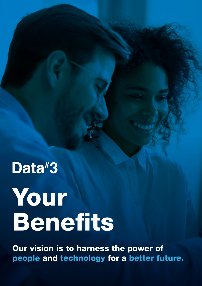## Data#3

# Your Benefits

Our vision is to harness the power of people and technology for a better future.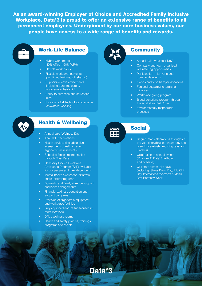As an award-winning Employer of Choice and Accredited Family Inclusive Workplace, Data#3 is proud to offer an extensive range of benefits to all permanent employees. Underpinned by our core business values, our people have access to a wide range of benefits and rewards.



#### Work-Life Balance

- Hybrid work model (40% office – 60% WFH)
- Flexible work hours
- Flexible work arrangements (part time, flexitime, job sharing)
- Supportive leave entitlements (including parental, carers, long-service, hardship)
- Ability to purchase and sell annual leave
- Provision of all technology to enable 'anywhere' working

#### **Community**

- Annual paid 'Volunteer Day'
- Company and team organised volunteering opportunities
- Participation in fun runs and community events
- Goods and food hamper donations
- Fun and engaging fundraising initiatives
- Workplace giving program
- Blood donations program through the Australian Red Cross
- Environmentally responsible practices



#### Health & Wellbeing

- Annual paid 'Wellness Day'
- Annual flu vaccinations
- Health services (including skin assessments, health checks, ergonomic assessments)
- Subsided fitness memberships through ClassPass
- Company funded Employee Assistance Program (EAP) available for our people and their dependents
- Mental health awareness initiatives and support programs
- Domestic and family violence support and leave arrangements
- Financial wellness education and support programs
- Provision of ergonomic equipment and workplace facilities
- Fully equipped end-of-trip facilities in most locations
- Office wellness rooms
- Health and safety policies, trainings programs and events

Data#3

EEE

#### Social

- Regular staff celebrations throughout the year (including ice-cream day and branch breakfasts, morning teas and lunches)
- Celebration of annual events (FY kick-off, Data# 3 birthday and holidays)
- Celebrate community days (including; Stress Down Day, R U Ok? Day, International Women's & Men's Day, Harmony Week)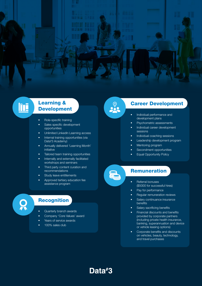

#### Learning & Development

- Role-specific training
- Sales specific development opportunities
- Unlimited LinkedIn Learning access
- Internal training opportunities (via Data#3 Academy)
- Annually delivered 'Learning Month' initiative
- Tailored team training opportunities
- Internally and externally facilitated workshops and seminars
- Third party content curation and recommendations
- 
- Study leave entitlements Approved tertiary education fee assistance program

## Q

**Ini** 

#### **Recognition**

- Quarterly branch awards
- Company 'Core Values' award
- Years of service awards
- 100% sales club

#### Career Development

- Individual performance and development plans
- 
- Psychometric assessments Individual career development sessions
- Individual coaching sessions
- Leadership development program
- Mentoring program
- Secondment opportunities
- Equal Opportunity Policy

#### **Remuneration**

- Referral bonuses (\$5000 for successful hires)
- Pay for performance
- Regular remuneration reviews
- Salary continuance insurance benefits
- 
- Salary sacrificing benefits<br>
Financial discounts and benefits provided by corporate partners (including private health insurance, banking, superannuation and device or vehicle leasing options)
- Corporate benefits and discounts on vehicles, beauty, technology, and travel purchases

#### Data#3